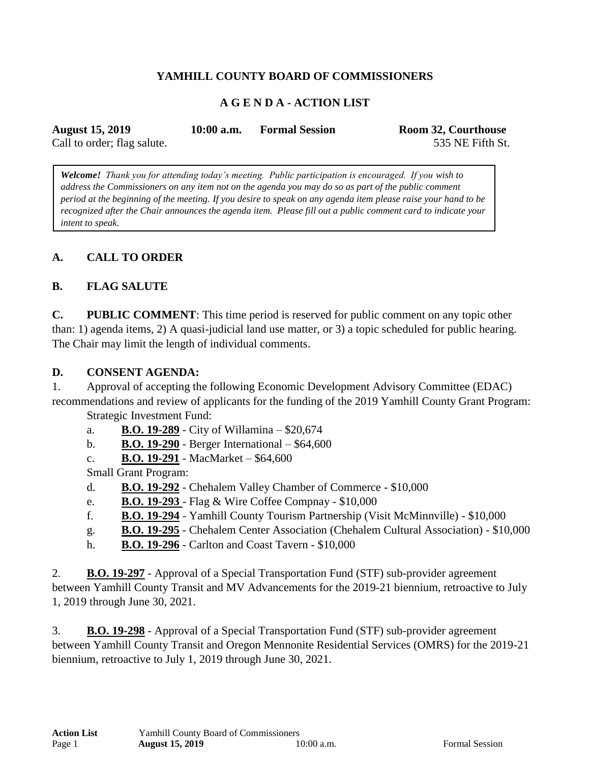# **YAMHILL COUNTY BOARD OF COMMISSIONERS**

### **A G E N D A - ACTION LIST**

| <b>August 15, 2019</b>      | $10:00$ a.m. | <b>Formal Session</b> | <b>Room 32, Courthouse</b> |
|-----------------------------|--------------|-----------------------|----------------------------|
| Call to order; flag salute. |              |                       | 535 NE Fifth St.           |

*Welcome! Thank you for attending today's meeting. Public participation is encouraged. If you wish to address the Commissioners on any item not on the agenda you may do so as part of the public comment period at the beginning of the meeting. If you desire to speak on any agenda item please raise your hand to be recognized after the Chair announces the agenda item. Please fill out a public comment card to indicate your intent to speak.*

### **A. CALL TO ORDER**

### **B. FLAG SALUTE**

**C. PUBLIC COMMENT**: This time period is reserved for public comment on any topic other than: 1) agenda items, 2) A quasi-judicial land use matter, or 3) a topic scheduled for public hearing. The Chair may limit the length of individual comments.

#### **D. CONSENT AGENDA:**

1. Approval of accepting the following Economic Development Advisory Committee (EDAC) recommendations and review of applicants for the funding of the 2019 Yamhill County Grant Program:

Strategic Investment Fund:

a. **B.O. 19-289** - City of Willamina – \$20,674

b. **B.O. 19-290** - Berger International – \$64,600

c. **B.O. 19-291** - MacMarket – \$64,600

Small Grant Program:

d. **B.O. 19-292** - Chehalem Valley Chamber of Commerce - \$10,000

- e. **B.O. 19-293**  Flag & Wire Coffee Compnay \$10,000
- f. **B.O. 19-294** Yamhill County Tourism Partnership (Visit McMinnville) \$10,000
- g. **B.O. 19-295** Chehalem Center Association (Chehalem Cultural Association) \$10,000
- h. **B.O. 19-296** Carlton and Coast Tavern \$10,000

2. **B.O. 19-297** - Approval of a Special Transportation Fund (STF) sub-provider agreement between Yamhill County Transit and MV Advancements for the 2019-21 biennium, retroactive to July 1, 2019 through June 30, 2021.

3. **B.O. 19-298** - Approval of a Special Transportation Fund (STF) sub-provider agreement between Yamhill County Transit and Oregon Mennonite Residential Services (OMRS) for the 2019-21 biennium, retroactive to July 1, 2019 through June 30, 2021.